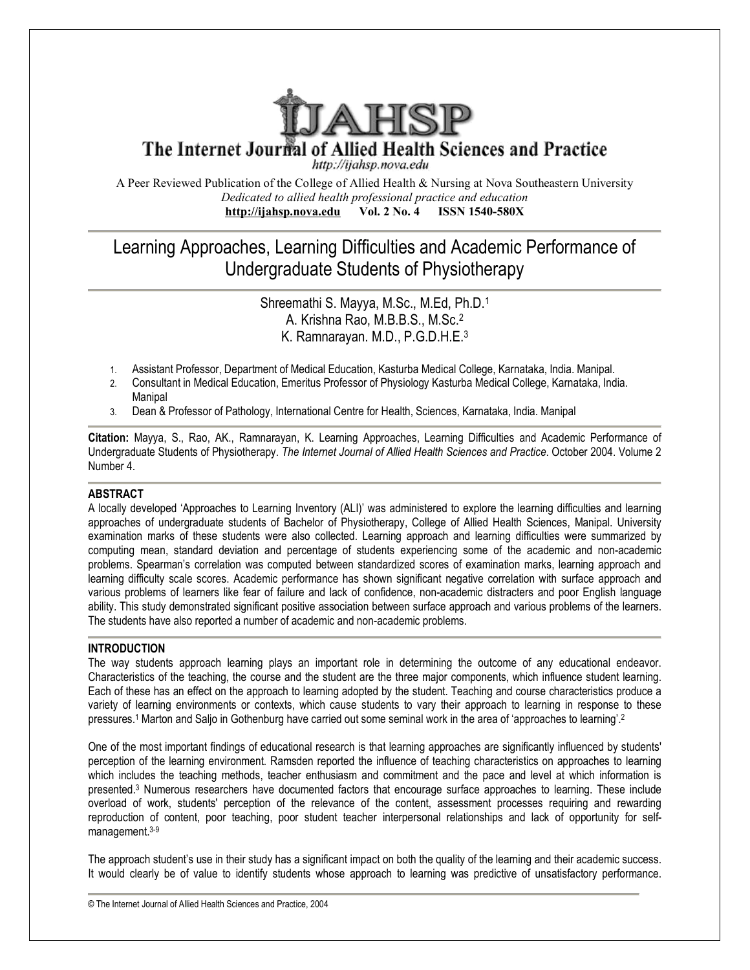

The Internet Journal of Allied Health Sciences and Practice

http://ijahsp.nova.edu

A Peer Reviewed Publication of the College of Allied Health & Nursing at Nova Southeastern University *Dedicated to allied health professional practice and education* **<http://ijahsp.nova.edu> Vol. 2 No. 4 ISSN 1540-580X** 

# Learning Approaches, Learning Difficulties and Academic Performance of Undergraduate Students of Physiotherapy

# Shreemathi S. Mayya, M.Sc., M.Ed, Ph.D.<sup>1</sup> A. Krishna Rao, M.B.B.S., M.Sc.<sup>2</sup> K. Ramnarayan. M.D., P.G.D.H.E.<sup>3</sup>

- 1. Assistant Professor, Department of Medical Education, Kasturba Medical College, Karnataka, India. Manipal.
- 2. Consultant in Medical Education, Emeritus Professor of Physiology Kasturba Medical College, Karnataka, India. Manipal
- 3. Dean & Professor of Pathology, International Centre for Health, Sciences, Karnataka, India. Manipal

**Citation:** Mayya, S., Rao, AK., Ramnarayan, K. Learning Approaches, Learning Difficulties and Academic Performance of Undergraduate Students of Physiotherapy. *The Internet Journal of Allied Health Sciences and Practice*. October 2004. Volume 2 Number 4.

# **ABSTRACT**

A locally developed 'Approaches to Learning Inventory (ALI)' was administered to explore the learning difficulties and learning approaches of undergraduate students of Bachelor of Physiotherapy, College of Allied Health Sciences, Manipal. University examination marks of these students were also collected. Learning approach and learning difficulties were summarized by computing mean, standard deviation and percentage of students experiencing some of the academic and non-academic problems. Spearman's correlation was computed between standardized scores of examination marks, learning approach and learning difficulty scale scores. Academic performance has shown significant negative correlation with surface approach and various problems of learners like fear of failure and lack of confidence, non-academic distracters and poor English language ability. This study demonstrated significant positive association between surface approach and various problems of the learners. The students have also reported a number of academic and non-academic problems.

# **INTRODUCTION**

The way students approach learning plays an important role in determining the outcome of any educational endeavor. Characteristics of the teaching, the course and the student are the three major components, which influence student learning. Each of these has an effect on the approach to learning adopted by the student. Teaching and course characteristics produce a variety of learning environments or contexts, which cause students to vary their approach to learning in response to these pressures.<sup>1</sup> Marton and Saljo in Gothenburg have carried out some seminal work in the area of 'approaches to learning'.<sup>2</sup>

One of the most important findings of educational research is that learning approaches are significantly influenced by students' perception of the learning environment. Ramsden reported the influence of teaching characteristics on approaches to learning which includes the teaching methods, teacher enthusiasm and commitment and the pace and level at which information is presented.<sup>3</sup> Numerous researchers have documented factors that encourage surface approaches to learning. These include overload of work, students' perception of the relevance of the content, assessment processes requiring and rewarding reproduction of content, poor teaching, poor student teacher interpersonal relationships and lack of opportunity for selfmanagement.<sup>3-9</sup>

The approach student's use in their study has a significant impact on both the quality of the learning and their academic success. It would clearly be of value to identify students whose approach to learning was predictive of unsatisfactory performance.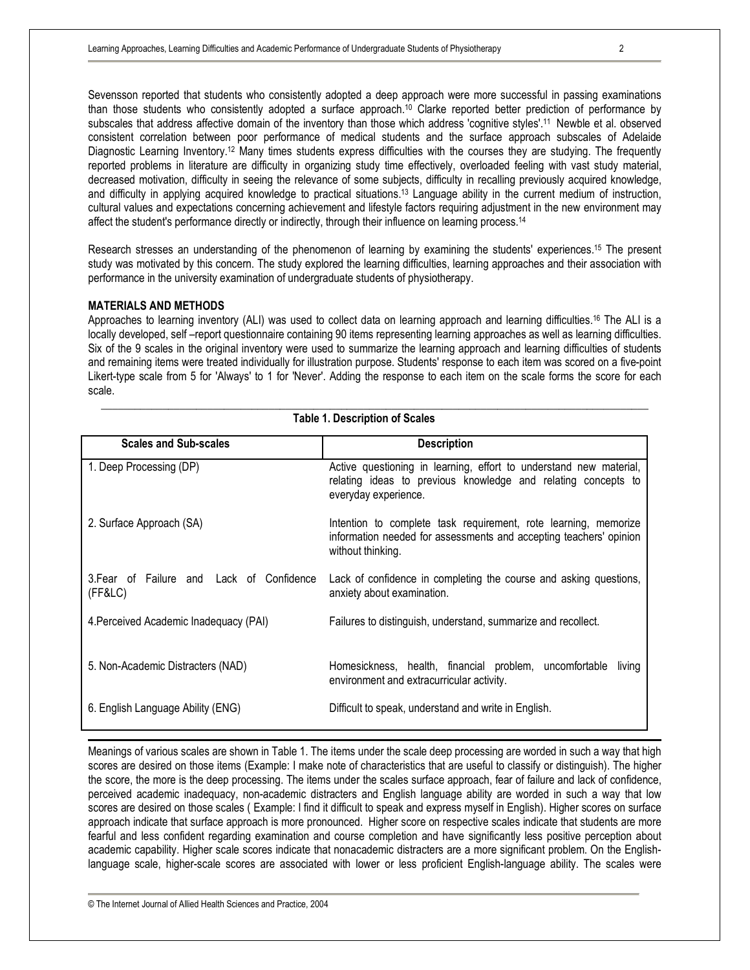Sevensson reported that students who consistently adopted a deep approach were more successful in passing examinations than those students who consistently adopted a surface approach.<sup>10</sup> Clarke reported better prediction of performance by subscales that address affective domain of the inventory than those which address 'cognitive styles'.<sup>11</sup> Newble et al. observed consistent correlation between poor performance of medical students and the surface approach subscales of Adelaide Diagnostic Learning Inventory.<sup>12</sup> Many times students express difficulties with the courses they are studying. The frequently reported problems in literature are difficulty in organizing study time effectively, overloaded feeling with vast study material, decreased motivation, difficulty in seeing the relevance of some subjects, difficulty in recalling previously acquired knowledge, and difficulty in applying acquired knowledge to practical situations.<sup>13</sup> Language ability in the current medium of instruction, cultural values and expectations concerning achievement and lifestyle factors requiring adjustment in the new environment may affect the student's performance directly or indirectly, through their influence on learning process.<sup>14</sup>

Research stresses an understanding of the phenomenon of learning by examining the students' experiences.<sup>15</sup> The present study was motivated by this concern. The study explored the learning difficulties, learning approaches and their association with performance in the university examination of undergraduate students of physiotherapy.

### **MATERIALS AND METHODS**

Approaches to learning inventory (ALI) was used to collect data on learning approach and learning difficulties.<sup>16</sup> The ALI is a locally developed, self –report questionnaire containing 90 items representing learning approaches as well as learning difficulties. Six of the 9 scales in the original inventory were used to summarize the learning approach and learning difficulties of students and remaining items were treated individually for illustration purpose. Students' response to each item was scored on a five-point Likert-type scale from 5 for 'Always' to 1 for 'Never'. Adding the response to each item on the scale forms the score for each scale.

\_\_\_\_\_\_\_\_\_\_\_\_\_\_\_\_\_\_\_\_\_\_\_\_\_\_\_\_\_\_\_\_\_\_\_\_\_\_\_\_\_\_\_\_\_\_\_\_\_\_\_\_\_\_\_\_\_\_\_\_\_\_\_\_\_\_\_\_\_\_\_\_\_\_\_\_\_\_\_\_\_\_\_\_\_\_\_\_\_\_\_\_\_\_\_\_\_\_ **Table 1. Description of Scales**

| <b>Scales and Sub-scales</b>                         | <b>Description</b>                                                                                                                                          |
|------------------------------------------------------|-------------------------------------------------------------------------------------------------------------------------------------------------------------|
| 1. Deep Processing (DP)                              | Active questioning in learning, effort to understand new material,<br>relating ideas to previous knowledge and relating concepts to<br>everyday experience. |
| 2. Surface Approach (SA)                             | Intention to complete task requirement, rote learning, memorize<br>information needed for assessments and accepting teachers' opinion<br>without thinking.  |
| 3. Fear of Failure and Lack of Confidence<br>(FF&LC) | Lack of confidence in completing the course and asking questions,<br>anxiety about examination.                                                             |
| 4. Perceived Academic Inadequacy (PAI)               | Failures to distinguish, understand, summarize and recollect.                                                                                               |
| 5. Non-Academic Distracters (NAD)                    | Homesickness, health, financial problem, uncomfortable<br>living<br>environment and extracurricular activity.                                               |
| 6. English Language Ability (ENG)                    | Difficult to speak, understand and write in English.                                                                                                        |

Meanings of various scales are shown in Table 1. The items under the scale deep processing are worded in such a way that high scores are desired on those items (Example: I make note of characteristics that are useful to classify or distinguish). The higher the score, the more is the deep processing. The items under the scales surface approach, fear of failure and lack of confidence, perceived academic inadequacy, non-academic distracters and English language ability are worded in such a way that low scores are desired on those scales ( Example: I find it difficult to speak and express myself in English). Higher scores on surface approach indicate that surface approach is more pronounced. Higher score on respective scales indicate that students are more fearful and less confident regarding examination and course completion and have significantly less positive perception about academic capability. Higher scale scores indicate that nonacademic distracters are a more significant problem. On the Englishlanguage scale, higher-scale scores are associated with lower or less proficient English-language ability. The scales were

© The Internet Journal of Allied Health Sciences and Practice, 2004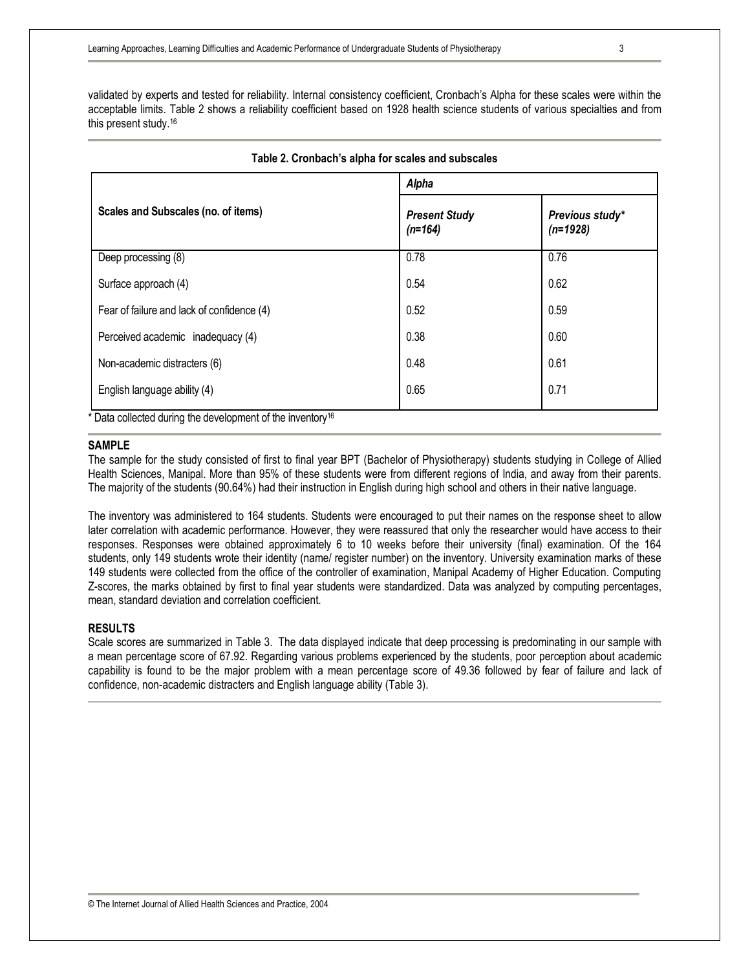validated by experts and tested for reliability. Internal consistency coefficient, Cronbach's Alpha for these scales were within the acceptable limits. Table 2 shows a reliability coefficient based on 1928 health science students of various specialties and from this present study.<sup>16</sup>

|                                            | Alpha                             |                               |  |  |
|--------------------------------------------|-----------------------------------|-------------------------------|--|--|
| Scales and Subscales (no. of items)        | <b>Present Study</b><br>$(n=164)$ | Previous study*<br>$(n=1928)$ |  |  |
| Deep processing (8)                        | 0.78                              | 0.76                          |  |  |
| Surface approach (4)                       | 0.54                              | 0.62                          |  |  |
| Fear of failure and lack of confidence (4) | 0.52                              | 0.59                          |  |  |
| Perceived academic inadequacy (4)          | 0.38                              | 0.60                          |  |  |
| Non-academic distracters (6)               | 0.48                              | 0.61                          |  |  |
| English language ability (4)               | 0.65                              | 0.71                          |  |  |

# **Table 2. Cronbach's alpha for scales and subscales**

**SAMPLE**

The sample for the study consisted of first to final year BPT (Bachelor of Physiotherapy) students studying in College of Allied Health Sciences, Manipal. More than 95% of these students were from different regions of India, and away from their parents. The majority of the students (90.64%) had their instruction in English during high school and others in their native language.

The inventory was administered to 164 students. Students were encouraged to put their names on the response sheet to allow later correlation with academic performance. However, they were reassured that only the researcher would have access to their responses. Responses were obtained approximately 6 to 10 weeks before their university (final) examination. Of the 164 students, only 149 students wrote their identity (name/ register number) on the inventory. University examination marks of these 149 students were collected from the office of the controller of examination, Manipal Academy of Higher Education. Computing Z-scores, the marks obtained by first to final year students were standardized. Data was analyzed by computing percentages, mean, standard deviation and correlation coefficient.

# **RESULTS**

Scale scores are summarized in Table 3. The data displayed indicate that deep processing is predominating in our sample with a mean percentage score of 67.92. Regarding various problems experienced by the students, poor perception about academic capability is found to be the major problem with a mean percentage score of 49.36 followed by fear of failure and lack of confidence, non-academic distracters and English language ability (Table 3).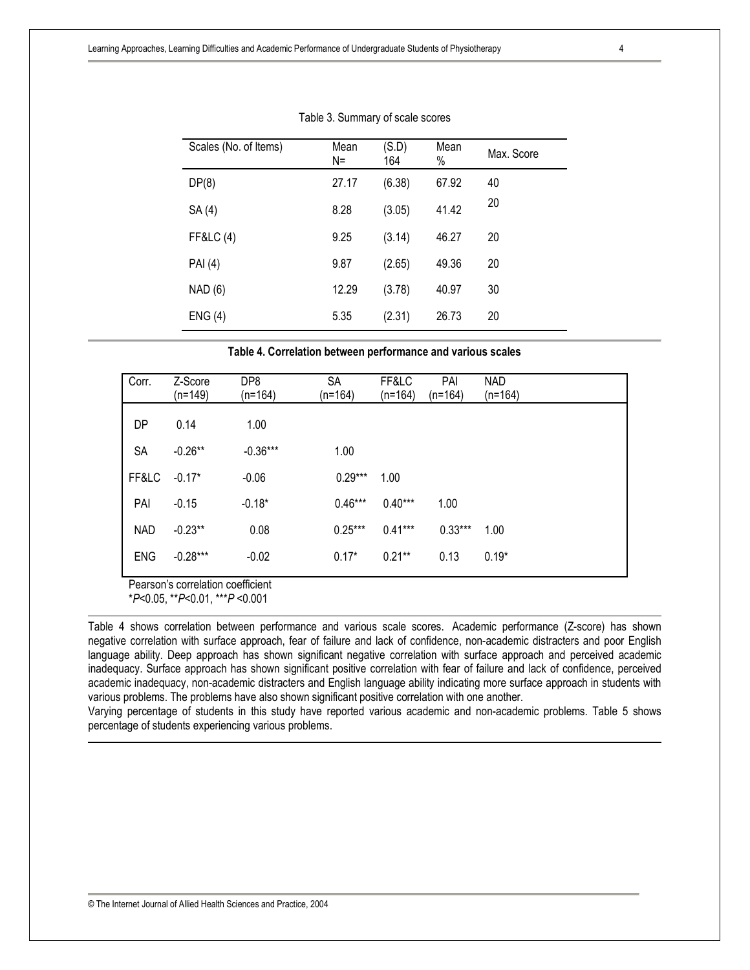| Scales (No. of Items) | Mean<br>$N =$ | (S.D)<br>164 | Mean<br>% | Max. Score |
|-----------------------|---------------|--------------|-----------|------------|
| DP(8)                 | 27.17         | (6.38)       | 67.92     | 40         |
| SA (4)                | 8.28          | (3.05)       | 41.42     | 20         |
| <b>FF&amp;LC (4)</b>  | 9.25          | (3.14)       | 46.27     | 20         |
| <b>PAI</b> (4)        | 9.87          | (2.65)       | 49.36     | 20         |
| NAD (6)               | 12.29         | (3.78)       | 40.97     | 30         |
| ENG(4)                | 5.35          | (2.31)       | 26.73     | 20         |

| Table 3. Summary of scale scores |
|----------------------------------|
|----------------------------------|

**Table 4. Correlation between performance and various scales**

| Corr.      | Z-Score<br>(n=149) | DP8<br>$(n=164)$ | <b>SA</b><br>$(n=164)$ | FF&LC<br>$(n=164)$ | PAI<br>$(n=164)$ | <b>NAD</b><br>$(n=164)$ |
|------------|--------------------|------------------|------------------------|--------------------|------------------|-------------------------|
| DP         | 0.14               | 1.00             |                        |                    |                  |                         |
| <b>SA</b>  | $-0.26**$          | $-0.36***$       | 1.00                   |                    |                  |                         |
| FF&LC      | $-0.17*$           | $-0.06$          | $0.29***$              | 1.00               |                  |                         |
| PAI        | $-0.15$            | $-0.18*$         | $0.46***$              | $0.40***$          | 1.00             |                         |
| <b>NAD</b> | $-0.23**$          | 0.08             | $0.25***$              | $0.41***$          | $0.33***$        | 1.00                    |
| <b>ENG</b> | $-0.28***$         | $-0.02$          | $0.17*$                | $0.21***$          | 0.13             | $0.19*$                 |

Pearson's correlation coefficient

\**P*<0.05, \*\**P*<0.01, \*\*\**P* <0.001

Table 4 shows correlation between performance and various scale scores. Academic performance (Z-score) has shown negative correlation with surface approach, fear of failure and lack of confidence, non-academic distracters and poor English language ability. Deep approach has shown significant negative correlation with surface approach and perceived academic inadequacy. Surface approach has shown significant positive correlation with fear of failure and lack of confidence, perceived academic inadequacy, non-academic distracters and English language ability indicating more surface approach in students with various problems. The problems have also shown significant positive correlation with one another.

Varying percentage of students in this study have reported various academic and non-academic problems. Table 5 shows percentage of students experiencing various problems.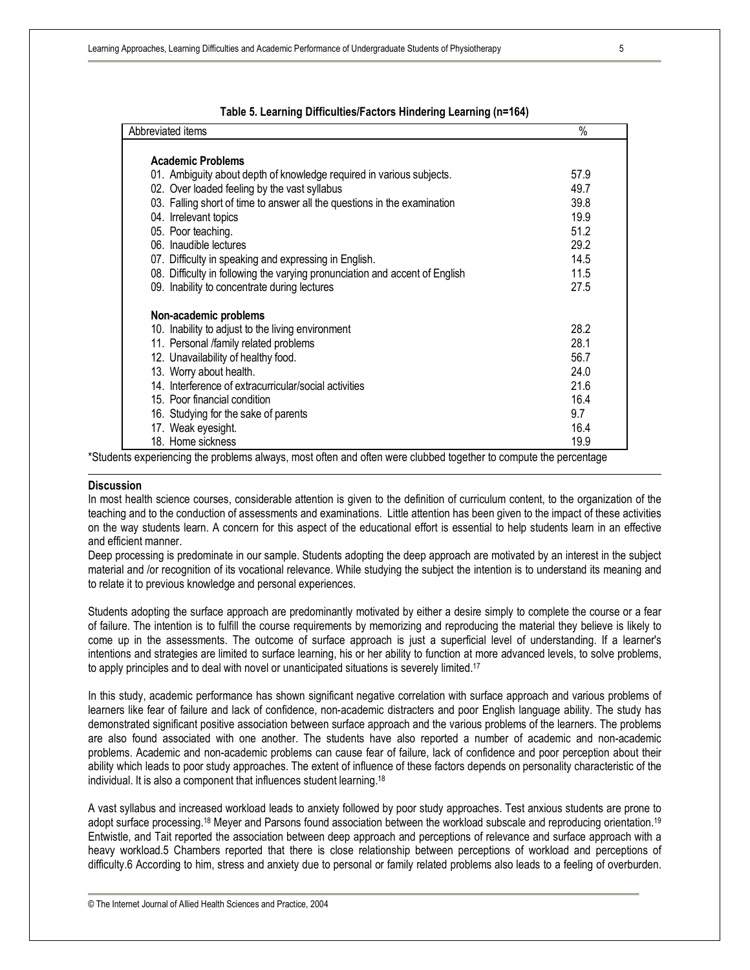| Abbreviated items                                                           | $\%$ |  |
|-----------------------------------------------------------------------------|------|--|
| <b>Academic Problems</b>                                                    |      |  |
| 01. Ambiguity about depth of knowledge required in various subjects.        | 57.9 |  |
| 02. Over loaded feeling by the vast syllabus                                | 49.7 |  |
| 03. Falling short of time to answer all the questions in the examination    | 39.8 |  |
| 04. Irrelevant topics                                                       | 19.9 |  |
| 05. Poor teaching.                                                          | 51.2 |  |
| 06. Inaudible lectures                                                      | 29.2 |  |
| 07. Difficulty in speaking and expressing in English.                       | 14.5 |  |
| 08. Difficulty in following the varying pronunciation and accent of English | 11.5 |  |
| 09. Inability to concentrate during lectures                                | 27.5 |  |
| Non-academic problems                                                       |      |  |
| 10. Inability to adjust to the living environment                           | 28.2 |  |
| 11. Personal /family related problems                                       | 28.1 |  |
| 12. Unavailability of healthy food.                                         | 56.7 |  |
| 13. Worry about health.                                                     | 24.0 |  |
| 14. Interference of extracurricular/social activities                       | 21.6 |  |
| 15. Poor financial condition                                                | 16.4 |  |
| 16. Studying for the sake of parents                                        | 9.7  |  |
| 17. Weak eyesight.                                                          | 16.4 |  |
| 18. Home sickness                                                           | 19.9 |  |

#### **Table 5. Learning Difficulties/Factors Hindering Learning (n=164)**

\*Students experiencing the problems always, most often and often were clubbed together to compute the percentage

#### **Discussion**

In most health science courses, considerable attention is given to the definition of curriculum content, to the organization of the teaching and to the conduction of assessments and examinations. Little attention has been given to the impact of these activities on the way students learn. A concern for this aspect of the educational effort is essential to help students learn in an effective and efficient manner.

Deep processing is predominate in our sample. Students adopting the deep approach are motivated by an interest in the subject material and /or recognition of its vocational relevance. While studying the subject the intention is to understand its meaning and to relate it to previous knowledge and personal experiences.

Students adopting the surface approach are predominantly motivated by either a desire simply to complete the course or a fear of failure. The intention is to fulfill the course requirements by memorizing and reproducing the material they believe is likely to come up in the assessments. The outcome of surface approach is just a superficial level of understanding. If a learner's intentions and strategies are limited to surface learning, his or her ability to function at more advanced levels, to solve problems, to apply principles and to deal with novel or unanticipated situations is severely limited.<sup>17</sup>

In this study, academic performance has shown significant negative correlation with surface approach and various problems of learners like fear of failure and lack of confidence, non-academic distracters and poor English language ability. The study has demonstrated significant positive association between surface approach and the various problems of the learners. The problems are also found associated with one another. The students have also reported a number of academic and non-academic problems. Academic and non-academic problems can cause fear of failure, lack of confidence and poor perception about their ability which leads to poor study approaches. The extent of influence of these factors depends on personality characteristic of the individual. It is also a component that influences student learning.<sup>18</sup>

A vast syllabus and increased workload leads to anxiety followed by poor study approaches. Test anxious students are prone to adopt surface processing.<sup>18</sup> Meyer and Parsons found association between the workload subscale and reproducing orientation.<sup>19</sup> Entwistle, and Tait reported the association between deep approach and perceptions of relevance and surface approach with a heavy workload.5 Chambers reported that there is close relationship between perceptions of workload and perceptions of difficulty.6 According to him, stress and anxiety due to personal or family related problems also leads to a feeling of overburden.